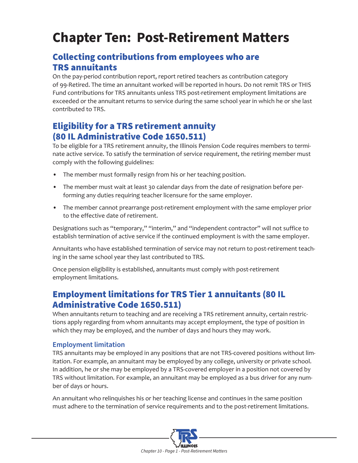# **Chapter Ten: Post-Retirement Matters**

# Collecting contributions from employees who are TRS annuitants

On the pay-period contribution report, report retired teachers as contribution category of 99-Retired. The time an annuitant worked will be reported in hours. Do not remit TRS or THIS Fund contributions for TRS annuitants unless TRS post-retirement employment limitations are exceeded or the annuitant returns to service during the same school year in which he or she last contributed to TRS.

# Eligibility for a TRS retirement annuity (80 IL Administrative Code 1650.511)

To be eligible for a TRS retirement annuity, the Illinois Pension Code requires members to terminate active service. To satisfy the termination of service requirement, the retiring member must comply with the following guidelines:

- The member must formally resign from his or her teaching position.
- The member must wait at least 30 calendar days from the date of resignation before performing any duties requiring teacher licensure for the same employer.
- The member cannot prearrange post-retirement employment with the same employer prior to the effective date of retirement.

Designations such as "temporary," "interim," and "independent contractor" will not suffice to establish termination of active service if the continued employment is with the same employer.

Annuitants who have established termination of service may not return to post-retirement teaching in the same school year they last contributed to TRS.

Once pension eligibility is established, annuitants must comply with post-retirement employment limitations.

# Employment limitations for TRS Tier 1 annuitants (80 IL Administrative Code 1650.511)

When annuitants return to teaching and are receiving a TRS retirement annuity, certain restrictions apply regarding from whom annuitants may accept employment, the type of position in which they may be employed, and the number of days and hours they may work.

### **Employment limitation**

TRS annuitants may be employed in any positions that are not TRS-covered positions without limitation. For example, an annuitant may be employed by any college, university or private school. In addition, he or she may be employed by a TRS-covered employer in a position not covered by TRS without limitation. For example, an annuitant may be employed as a bus driver for any number of days or hours.

An annuitant who relinquishes his or her teaching license and continues in the same position must adhere to the termination of service requirements and to the post-retirement limitations.

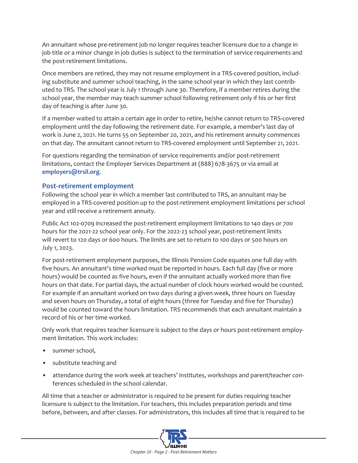An annuitant whose pre-retirement job no longer requires teacher licensure due to a change in job title or a minor change in job duties is subject to the termination of service requirements and the post-retirement limitations.

Once members are retired, they may not resume employment in a TRS-covered position, including substitute and summer school teaching, in the same school year in which they last contributed to TRS. The school year is July 1 through June 30. Therefore, if a member retires during the school year, the member may teach summer school following retirement only if his or her first day of teaching is after June 30.

If a member waited to attain a certain age in order to retire, he/she cannot return to TRS-covered employment until the day following the retirement date. For example, a member's last day of work is June 2, 2021. He turns 55 on September 20, 2021, and his retirement annuity commences on that day. The annuitant cannot return to TRS-covered employment until September 21, 2021.

For questions regarding the termination of service requirements and/or post-retirement limitations, contact the Employer Services Department at (888) 678-3675 or via email at **[employers@trsil.org](mailto:employers%40trsil.org?subject=)**.

#### **Post-retirement employment**

Following the school year in which a member last contributed to TRS, an annuitant may be employed in a TRS-covered position up to the post-retirement employment limitations per school year and still receive a retirement annuity.

Public Act 102-0709 increased the post-retirement employment limitations to 140 days or 700 hours for the 2021-22 school year only. For the 2022-23 school year, post-retirement limits will revert to 120 days or 600 hours. The limits are set to return to 100 days or 500 hours on July 1, 2023.

For post-retirement employment purposes, the Illinois Pension Code equates one full day with five hours. An annuitant's time worked must be reported in hours. Each full day (five or more hours) would be counted as five hours, even if the annuitant actually worked more than five hours on that date. For partial days, the actual number of clock hours worked would be counted. For example if an annuitant worked on two days during a given week, three hours on Tuesday and seven hours on Thursday, a total of eight hours (three for Tuesday and five for Thursday) would be counted toward the hours limitation. TRS recommends that each annuitant maintain a record of his or her time worked.

Only work that requires teacher licensure is subject to the days or hours post-retirement employment limitation. This work includes:

- summer school,
- substitute teaching and
- attendance during the work week at teachers' institutes, workshops and parent/teacher conferences scheduled in the school calendar.

All time that a teacher or administrator is required to be present for duties requiring teacher licensure is subject to the limitation. For teachers, this includes preparation periods and time before, between, and after classes. For administrators, this includes all time that is required to be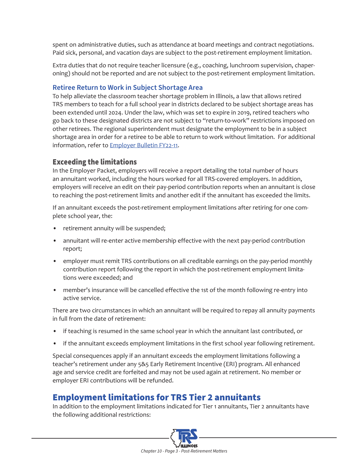spent on administrative duties, such as attendance at board meetings and contract negotiations. Paid sick, personal, and vacation days are subject to the post-retirement employment limitation.

Extra duties that do not require teacher licensure (e.g., coaching, lunchroom supervision, chaperoning) should not be reported and are not subject to the post-retirement employment limitation.

#### **Retiree Return to Work in Subject Shortage Area**

To help alleviate the classroom teacher shortage problem in Illinois, a law that allows retired TRS members to teach for a full school year in districts declared to be subject shortage areas has been extended until 2024. Under the law, which was set to expire in 2019, retired teachers who go back to these designated districts are not subject to "return-to-work" restrictions imposed on other retirees. The regional superintendent must designate the employment to be in a subject shortage area in order for a retiree to be able to return to work without limitation. For additional information, refer to [Employer Bulletin FY22-11](https://www.trsil.org/employers/employer-bulletins/FY22-11).

### Exceeding the limitations

In the Employer Packet, employers will receive a report detailing the total number of hours an annuitant worked, including the hours worked for all TRS-covered employers. In addition, employers will receive an edit on their pay-period contribution reports when an annuitant is close to reaching the post-retirement limits and another edit if the annuitant has exceeded the limits.

If an annuitant exceeds the post-retirement employment limitations after retiring for one complete school year, the:

- retirement annuity will be suspended;
- annuitant will re-enter active membership effective with the next pay-period contribution report;
- employer must remit TRS contributions on all creditable earnings on the pay-period monthly contribution report following the report in which the post-retirement employment limitations were exceeded; and
- member's insurance will be cancelled effective the 1st of the month following re-entry into active service.

There are two circumstances in which an annuitant will be required to repay all annuity payments in full from the date of retirement:

- if teaching is resumed in the same school year in which the annuitant last contributed, or
- if the annuitant exceeds employment limitations in the first school year following retirement.

Special consequences apply if an annuitant exceeds the employment limitations following a teacher's retirement under any 5&5 Early Retirement Incentive (ERI) program. All enhanced age and service credit are forfeited and may not be used again at retirement. No member or employer ERI contributions will be refunded.

# Employment limitations for TRS Tier 2 annuitants

In addition to the employment limitations indicated for Tier 1 annuitants, Tier 2 annuitants have the following additional restrictions:

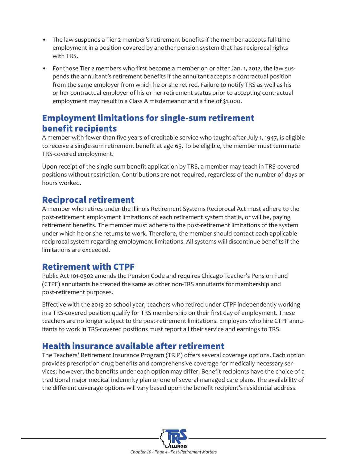- The law suspends a Tier 2 member's retirement benefits if the member accepts full-time employment in a position covered by another pension system that has reciprocal rights with TRS.
- For those Tier 2 members who first become a member on or after Jan. 1, 2012, the law suspends the annuitant's retirement benefits if the annuitant accepts a contractual position from the same employer from which he or she retired. Failure to notify TRS as well as his or her contractual employer of his or her retirement status prior to accepting contractual employment may result in a Class A misdemeanor and a fine of \$1,000.

## Employment limitations for single-sum retirement benefit recipients

A member with fewer than five years of creditable service who taught after July 1, 1947, is eligible to receive a single-sum retirement benefit at age 65. To be eligible, the member must terminate TRS-covered employment.

Upon receipt of the single-sum benefit application by TRS, a member may teach in TRS-covered positions without restriction. Contributions are not required, regardless of the number of days or hours worked.

### Reciprocal retirement

A member who retires under the Illinois Retirement Systems Reciprocal Act must adhere to the post-retirement employment limitations of each retirement system that is, or will be, paying retirement benefits. The member must adhere to the post-retirement limitations of the system under which he or she returns to work. Therefore, the member should contact each applicable reciprocal system regarding employment limitations. All systems will discontinue benefits if the limitations are exceeded.

# Retirement with CTPF

Public Act 101-0502 amends the Pension Code and requires Chicago Teacher's Pension Fund (CTPF) annuitants be treated the same as other non-TRS annuitants for membership and post-retirement purposes.

Effective with the 2019-20 school year, teachers who retired under CTPF independently working in a TRS-covered position qualify for TRS membership on their first day of employment. These teachers are no longer subject to the post-retirement limitations. Employers who hire CTPF annuitants to work in TRS-covered positions must report all their service and earnings to TRS.

# Health insurance available after retirement

The Teachers' Retirement Insurance Program (TRIP) offers several coverage options. Each option provides prescription drug benefits and comprehensive coverage for medically necessary services; however, the benefits under each option may differ. Benefit recipients have the choice of a traditional major medical indemnity plan or one of several managed care plans. The availability of the different coverage options will vary based upon the benefit recipient's residential address.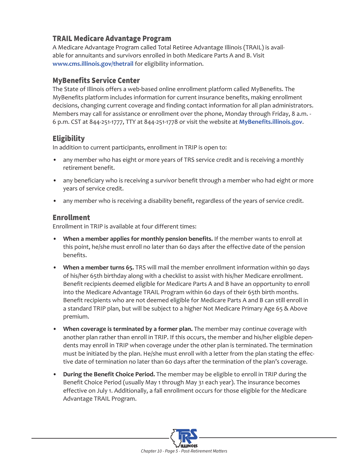### TRAIL Medicare Advantage Program

A Medicare Advantage Program called Total Retiree Advantage Illinois (TRAIL) is available for annuitants and survivors enrolled in both Medicare Parts A and B. Visit **[www.cms.illinois.gov/thetrail](http://www.cms.illinois.gov/thetrail)** for eligibility information.

### MyBenefits Service Center

The State of Illinois offers a web-based online enrollment platform called MyBenefits. The MyBenefits platform includes information for current insurance benefits, making enrollment decisions, changing current coverage and finding contact information for all plan administrators. Members may call for assistance or enrollment over the phone, Monday through Friday, 8 a.m. -6 p.m. CST at 844-251-1777, TTY at 844-251-1778 or visit the website at **[MyBenefits.illinois.gov](http://MyBenefits.illinois.gov)**.

### **Eligibility**

In addition to current participants, enrollment in TRIP is open to:

- any member who has eight or more years of TRS service credit and is receiving a monthly retirement benefit.
- any beneficiary who is receiving a survivor benefit through a member who had eight or more years of service credit.
- any member who is receiving a disability benefit, regardless of the years of service credit.

### Enrollment

Enrollment in TRIP is available at four different times:

- **• When a member applies for monthly pension benefits.** If the member wants to enroll at this point, he/she must enroll no later than 60 days after the effective date of the pension benefits.
- **• When a member turns 65.** TRS will mail the member enrollment information within 90 days of his/her 65th birthday along with a checklist to assist with his/her Medicare enrollment. Benefit recipients deemed eligible for Medicare Parts A and B have an opportunity to enroll into the Medicare Advantage TRAIL Program within 60 days of their 65th birth months. Benefit recipients who are not deemed eligible for Medicare Parts A and B can still enroll in a standard TRIP plan, but will be subject to a higher Not Medicare Primary Age 65 & Above premium.
- **• When coverage is terminated by a former plan.** The member may continue coverage with another plan rather than enroll in TRIP. If this occurs, the member and his/her eligible dependents may enroll in TRIP when coverage under the other plan is terminated. The termination must be initiated by the plan. He/she must enroll with a letter from the plan stating the effective date of termination no later than 60 days after the termination of the plan's coverage.
- **During the Benefit Choice Period.** The member may be eligible to enroll in TRIP during the Benefit Choice Period (usually May 1 through May 31 each year). The insurance becomes effective on July 1. Additionally, a fall enrollment occurs for those eligible for the Medicare Advantage TRAIL Program.

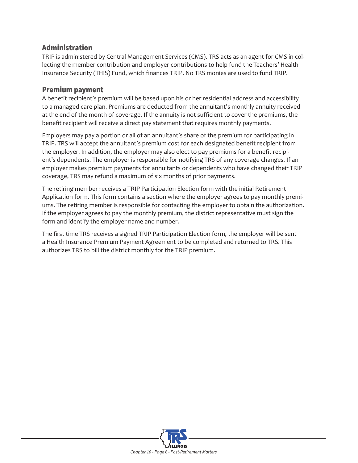### Administration

TRIP is administered by Central Management Services (CMS). TRS acts as an agent for CMS in collecting the member contribution and employer contributions to help fund the Teachers' Health Insurance Security (THIS) Fund, which finances TRIP. No TRS monies are used to fund TRIP.

#### Premium payment

A benefit recipient's premium will be based upon his or her residential address and accessibility to a managed care plan. Premiums are deducted from the annuitant's monthly annuity received at the end of the month of coverage. If the annuity is not sufficient to cover the premiums, the benefit recipient will receive a direct pay statement that requires monthly payments.

Employers may pay a portion or all of an annuitant's share of the premium for participating in TRIP. TRS will accept the annuitant's premium cost for each designated benefit recipient from the employer. In addition, the employer may also elect to pay premiums for a benefit recipient's dependents. The employer is responsible for notifying TRS of any coverage changes. If an employer makes premium payments for annuitants or dependents who have changed their TRIP coverage, TRS may refund a maximum of six months of prior payments.

The retiring member receives a TRIP Participation Election form with the initial Retirement Application form. This form contains a section where the employer agrees to pay monthly premiums. The retiring member is responsible for contacting the employer to obtain the authorization. If the employer agrees to pay the monthly premium, the district representative must sign the form and identify the employer name and number.

The first time TRS receives a signed TRIP Participation Election form, the employer will be sent a Health Insurance Premium Payment Agreement to be completed and returned to TRS. This authorizes TRS to bill the district monthly for the TRIP premium.

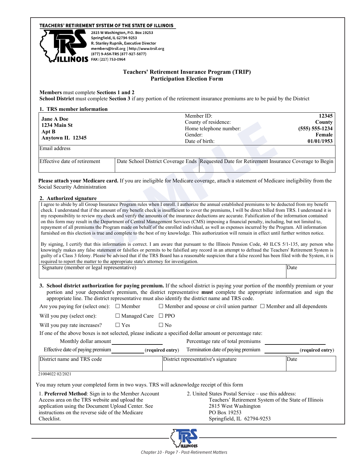#### TEACHERS' RETIREMENT SYSTEM OF THE STATE OF ILLINOIS



2815 W Washington, P.O. Box 19253 Springfield, IL 62794-9253 R. Stanley Rupnik, Executive Director members@trsil.org | http://www.trsil.org (877) 9-ASK-TRS (877-927-5877)  $S$  FAX: (217) 753-0964

#### **Teachers' Retirement Insurance Program (TRIP) Participation Election Form**

**Members** must complete **Sections 1 and 2**

**School District** must complete **Section 3** if any portion of the retirement insurance premiums are to be paid by the District

#### **1. TRS member information**

| <b>Jane A Doe</b><br>1234 Main St<br>Apt B<br>Anytown IL 12345 | Member ID:<br>County of residence:<br>Home telephone number:<br>Gender:<br>Date of birth:    | 12345<br>County<br>$(555) 555 - 1234$<br>Female<br>01/01/1953 |
|----------------------------------------------------------------|----------------------------------------------------------------------------------------------|---------------------------------------------------------------|
| Email address                                                  |                                                                                              |                                                               |
| Effective date of retirement                                   | Date School District Coverage Ends Requested Date for Retirement Insurance Coverage to Begin |                                                               |

#### **2. Authorized signature**

|                                                                                                                                                                                                                                                                                                                                                                                                                                                                                           |                                |                  | County of residence:<br>Home telephone number:                                                                                                                                                                                                                                                                                                                                                                                                                                                                                                                                                                                                                                                                                                                                                                                                                                                                                                                                                                                                                                                                                                                                                                                        | County<br>$(555) 555 - 1234$                         |
|-------------------------------------------------------------------------------------------------------------------------------------------------------------------------------------------------------------------------------------------------------------------------------------------------------------------------------------------------------------------------------------------------------------------------------------------------------------------------------------------|--------------------------------|------------------|---------------------------------------------------------------------------------------------------------------------------------------------------------------------------------------------------------------------------------------------------------------------------------------------------------------------------------------------------------------------------------------------------------------------------------------------------------------------------------------------------------------------------------------------------------------------------------------------------------------------------------------------------------------------------------------------------------------------------------------------------------------------------------------------------------------------------------------------------------------------------------------------------------------------------------------------------------------------------------------------------------------------------------------------------------------------------------------------------------------------------------------------------------------------------------------------------------------------------------------|------------------------------------------------------|
| Apt B<br>Anytown IL 12345                                                                                                                                                                                                                                                                                                                                                                                                                                                                 |                                |                  | Gender:                                                                                                                                                                                                                                                                                                                                                                                                                                                                                                                                                                                                                                                                                                                                                                                                                                                                                                                                                                                                                                                                                                                                                                                                                               | Female                                               |
| Email address                                                                                                                                                                                                                                                                                                                                                                                                                                                                             |                                |                  | Date of birth:                                                                                                                                                                                                                                                                                                                                                                                                                                                                                                                                                                                                                                                                                                                                                                                                                                                                                                                                                                                                                                                                                                                                                                                                                        | 01/01/1953                                           |
|                                                                                                                                                                                                                                                                                                                                                                                                                                                                                           |                                |                  |                                                                                                                                                                                                                                                                                                                                                                                                                                                                                                                                                                                                                                                                                                                                                                                                                                                                                                                                                                                                                                                                                                                                                                                                                                       |                                                      |
| Effective date of retirement                                                                                                                                                                                                                                                                                                                                                                                                                                                              |                                |                  | Date School District Coverage Ends Requested Date for Retirement Insurance Coverage to Begin                                                                                                                                                                                                                                                                                                                                                                                                                                                                                                                                                                                                                                                                                                                                                                                                                                                                                                                                                                                                                                                                                                                                          |                                                      |
| Social Security Administration                                                                                                                                                                                                                                                                                                                                                                                                                                                            |                                |                  | Please attach your Medicare card. If you are ineligible for Medicare coverage, attach a statement of Medicare ineligibility from the                                                                                                                                                                                                                                                                                                                                                                                                                                                                                                                                                                                                                                                                                                                                                                                                                                                                                                                                                                                                                                                                                                  |                                                      |
| 2. Authorized signature                                                                                                                                                                                                                                                                                                                                                                                                                                                                   |                                |                  |                                                                                                                                                                                                                                                                                                                                                                                                                                                                                                                                                                                                                                                                                                                                                                                                                                                                                                                                                                                                                                                                                                                                                                                                                                       |                                                      |
|                                                                                                                                                                                                                                                                                                                                                                                                                                                                                           |                                |                  | check. I understand that if the amount of my benefit check is insufficient to cover the premiums, I will be direct billed from TRS. I understand it is<br>my responsibility to review my check and verify the amounts of the insurance deductions are accurate. Falsification of the information contained<br>on this form may result in the Department of Central Management Services (CMS) imposing a financial penalty, including, but not limited to,<br>repayment of all premiums the Program made on behalf of the enrolled individual, as well as expenses incurred by the Program. All information<br>furnished on this election is true and complete to the best of my knowledge. This authorization will remain in effect until further written notice.<br>By signing, I certify that this information is correct. I am aware that pursuant to the Illinois Pension Code, 40 ILCS 5/1-135, any person who<br>knowingly makes any false statement or falsifies or permits to be falsified any record in an attempt to defraud the Teachers' Retirement System is<br>guilty of a Class 3 felony. Please be advised that if the TRS Board has a reasonable suspicion that a false record has been filed with the System, it is |                                                      |
| required to report the matter to the appropriate state's attorney for investigation.<br>Signature (member or legal representative)                                                                                                                                                                                                                                                                                                                                                        |                                |                  |                                                                                                                                                                                                                                                                                                                                                                                                                                                                                                                                                                                                                                                                                                                                                                                                                                                                                                                                                                                                                                                                                                                                                                                                                                       | Date                                                 |
|                                                                                                                                                                                                                                                                                                                                                                                                                                                                                           |                                |                  |                                                                                                                                                                                                                                                                                                                                                                                                                                                                                                                                                                                                                                                                                                                                                                                                                                                                                                                                                                                                                                                                                                                                                                                                                                       |                                                      |
|                                                                                                                                                                                                                                                                                                                                                                                                                                                                                           |                                |                  |                                                                                                                                                                                                                                                                                                                                                                                                                                                                                                                                                                                                                                                                                                                                                                                                                                                                                                                                                                                                                                                                                                                                                                                                                                       |                                                      |
|                                                                                                                                                                                                                                                                                                                                                                                                                                                                                           |                                |                  | 3. School district authorization for paying premium. If the school district is paying your portion of the monthly premium or your<br>portion and your dependent's premium, the district representative must complete the appropriate information and sign the<br>appropriate line. The district representative must also identify the district name and TRS code.                                                                                                                                                                                                                                                                                                                                                                                                                                                                                                                                                                                                                                                                                                                                                                                                                                                                     |                                                      |
|                                                                                                                                                                                                                                                                                                                                                                                                                                                                                           |                                |                  | $\Box$ Member and spouse or civil union partner $\Box$ Member and all dependents                                                                                                                                                                                                                                                                                                                                                                                                                                                                                                                                                                                                                                                                                                                                                                                                                                                                                                                                                                                                                                                                                                                                                      |                                                      |
|                                                                                                                                                                                                                                                                                                                                                                                                                                                                                           | $\Box$ Managed Care $\Box$ PPO |                  |                                                                                                                                                                                                                                                                                                                                                                                                                                                                                                                                                                                                                                                                                                                                                                                                                                                                                                                                                                                                                                                                                                                                                                                                                                       |                                                      |
|                                                                                                                                                                                                                                                                                                                                                                                                                                                                                           | $\Box$ Yes                     | $\Box$ No        |                                                                                                                                                                                                                                                                                                                                                                                                                                                                                                                                                                                                                                                                                                                                                                                                                                                                                                                                                                                                                                                                                                                                                                                                                                       |                                                      |
|                                                                                                                                                                                                                                                                                                                                                                                                                                                                                           |                                |                  | If one of the above boxes is not selected, please indicate a specified dollar amount or percentage rate:                                                                                                                                                                                                                                                                                                                                                                                                                                                                                                                                                                                                                                                                                                                                                                                                                                                                                                                                                                                                                                                                                                                              |                                                      |
| Monthly dollar amount                                                                                                                                                                                                                                                                                                                                                                                                                                                                     |                                |                  | Percentage rate of total premiums                                                                                                                                                                                                                                                                                                                                                                                                                                                                                                                                                                                                                                                                                                                                                                                                                                                                                                                                                                                                                                                                                                                                                                                                     |                                                      |
| Effective date of paying premium                                                                                                                                                                                                                                                                                                                                                                                                                                                          |                                | (required entry) | Termination date of paying premium                                                                                                                                                                                                                                                                                                                                                                                                                                                                                                                                                                                                                                                                                                                                                                                                                                                                                                                                                                                                                                                                                                                                                                                                    |                                                      |
|                                                                                                                                                                                                                                                                                                                                                                                                                                                                                           |                                |                  | District representative's signature                                                                                                                                                                                                                                                                                                                                                                                                                                                                                                                                                                                                                                                                                                                                                                                                                                                                                                                                                                                                                                                                                                                                                                                                   | (required entry)<br>Date                             |
|                                                                                                                                                                                                                                                                                                                                                                                                                                                                                           |                                |                  |                                                                                                                                                                                                                                                                                                                                                                                                                                                                                                                                                                                                                                                                                                                                                                                                                                                                                                                                                                                                                                                                                                                                                                                                                                       |                                                      |
|                                                                                                                                                                                                                                                                                                                                                                                                                                                                                           |                                |                  |                                                                                                                                                                                                                                                                                                                                                                                                                                                                                                                                                                                                                                                                                                                                                                                                                                                                                                                                                                                                                                                                                                                                                                                                                                       |                                                      |
|                                                                                                                                                                                                                                                                                                                                                                                                                                                                                           |                                |                  |                                                                                                                                                                                                                                                                                                                                                                                                                                                                                                                                                                                                                                                                                                                                                                                                                                                                                                                                                                                                                                                                                                                                                                                                                                       |                                                      |
|                                                                                                                                                                                                                                                                                                                                                                                                                                                                                           |                                |                  | 2. United States Postal Service – use this address:                                                                                                                                                                                                                                                                                                                                                                                                                                                                                                                                                                                                                                                                                                                                                                                                                                                                                                                                                                                                                                                                                                                                                                                   | Teachers' Retirement System of the State of Illinois |
|                                                                                                                                                                                                                                                                                                                                                                                                                                                                                           |                                |                  | 2815 West Washington                                                                                                                                                                                                                                                                                                                                                                                                                                                                                                                                                                                                                                                                                                                                                                                                                                                                                                                                                                                                                                                                                                                                                                                                                  |                                                      |
| Are you paying for (select one): $\Box$ Member<br>Will you pay (select one):<br>Will you pay rate increases?<br>District name and TRS code<br>21004022 02/2021<br>You may return your completed form in two ways. TRS will acknowledge receipt of this form<br>1. Preferred Method: Sign in to the Member Account<br>Access area on the TRS website and upload the<br>application using the Document Upload Center. See<br>instructions on the reverse side of the Medicare<br>Checklist. |                                |                  | PO Box 19253<br>Springfield, IL 62794-9253                                                                                                                                                                                                                                                                                                                                                                                                                                                                                                                                                                                                                                                                                                                                                                                                                                                                                                                                                                                                                                                                                                                                                                                            |                                                      |

**ILLINOIS**